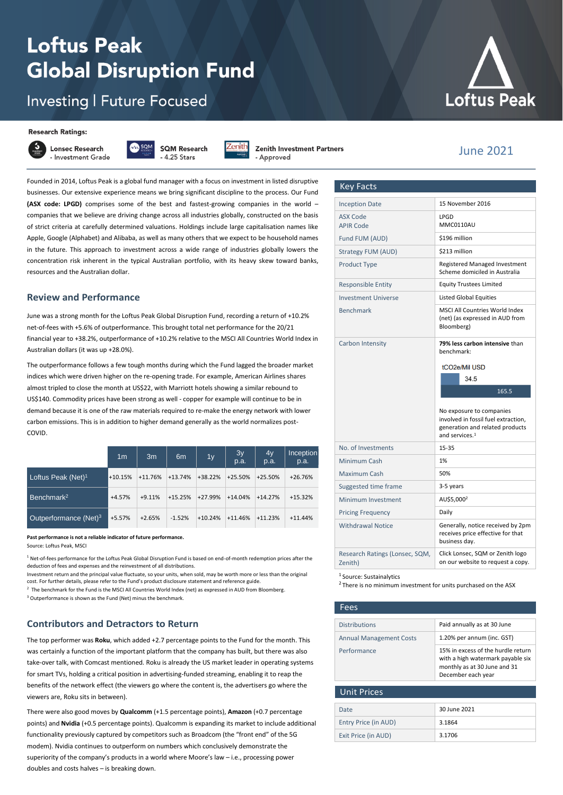# **Loftus Peak Global Disruption Fund**

# **Investing | Future Focused**





**Lonsec Research** - Investment Grade



Zenîth

**Zenith Investment Partners** Approved

Founded in 2014, Loftus Peak is a global fund manager with a focus on investment in listed disruptive businesses. Our extensive experience means we bring significant discipline to the process. Our Fund **(ASX code: LPGD)** comprises some of the best and fastest-growing companies in the world – companies that we believe are driving change across all industries globally, constructed on the basis of strict criteria at carefully determined valuations. Holdings include large capitalisation names like Apple, Google (Alphabet) and Alibaba, as well as many others that we expect to be household names in the future. This approach to investment across a wide range of industries globally lowers the concentration risk inherent in the typical Australian portfolio, with its heavy skew toward banks, resources and the Australian dollar.

#### **Review and Performance**

June was a strong month for the Loftus Peak Global Disruption Fund, recording a return of +10.2% net-of-fees with +5.6% of outperformance. This brought total net performance for the 20/21 financial year to +38.2%, outperformance of +10.2% relative to the MSCI All Countries World Index in Australian dollars (it was up +28.0%).

The outperformance follows a few tough months during which the Fund lagged the broader market indices which were driven higher on the re-opening trade. For example, American Airlines shares almost tripled to close the month at US\$22, with Marriott hotels showing a similar rebound to US\$140. Commodity prices have been strong as well - copper for example will continue to be in demand because it is one of the raw materials required to re-make the energy network with lower carbon emissions. This is in addition to higher demand generally as the world normalizes post-COVID.

|                                | 1 <sub>m</sub> | 3m        | 6 <sub>m</sub> | 1y        | 3y<br>p.a. | 4y<br>p.a. | Inception<br>p.a. |
|--------------------------------|----------------|-----------|----------------|-----------|------------|------------|-------------------|
| Loftus Peak (Net) <sup>1</sup> | $+10.15%$      | $+11.76%$ | $+13.74%$      | +38.22%   | $+25.50%$  | $+25.50%$  | $+26.76%$         |
| Benchmark <sup>2</sup>         | $+4.57%$       | $+9.11%$  | $+15.25%$      | +27.99%   | $+14.04%$  | $+14.27%$  | $+15.32%$         |
| Outperformance $(Net)^3$       | $+5.57%$       | $+2.65%$  | $-1.52%$       | $+10.24%$ | $+11.46%$  | $+11.23%$  | $+11.44%$         |

## **Past performance is not a reliable indicator of future performance.**

Source: Loftus Peak, MSC

 $1$  Net-of-fees performance for the Loftus Peak Global Disruption Fund is based on end-of-month redemption prices after the deduction of fees and expenses and the reinvestment of all distributions.

Investment return and the principal value fluctuate, so your units, when sold, may be worth more or less than the original cost. For further details, please refer to the Fund's product disclosure statement and reference guide.

<sup>2</sup> The benchmark for the Fund is the MSCI All Countries World Index (net) as expressed in AUD from Bloomberg.

<sup>3</sup> Outperformance is shown as the Fund (Net) minus the benchmark

# **Contributors and Detractors to Return**

The top performer was **Roku**, which added +2.7 percentage points to the Fund for the month. This was certainly a function of the important platform that the company has built, but there was also take-over talk, with Comcast mentioned. Roku is already the US market leader in operating systems for smart TVs, holding a critical position in advertising-funded streaming, enabling it to reap the benefits of the network effect (the viewers go where the content is, the advertisers go where the viewers are, Roku sits in between).

There were also good moves by **Qualcomm** (+1.5 percentage points), **Amazon** (+0.7 percentage points) and **Nvidia** (+0.5 percentage points). Qualcomm is expanding its market to include additional functionality previously captured by competitors such as Broadcom (the "front end" of the 5G modem). Nvidia continues to outperform on numbers which conclusively demonstrate the superiority of the company's products in a world where Moore's law – i.e., processing power doubles and costs halves – is breaking down.



# June 2021

generation and related products

| <b>Inception Date</b>        | 15 November 2016         |
|------------------------------|--------------------------|
| ASX Code<br><b>APIR Code</b> | LPGD<br>MMC0110AU        |
| Fund FUM (AUD)               | \$196 million            |
| <b>Strategy FUM (AUD)</b>    | \$213 million            |
| <b>Product Type</b>          | <b>Registered Manage</b> |

**Key Facts** 

| <b>Product Type</b>        | <b>Registered Managed Investment</b><br>Scheme domiciled in Australia                 |
|----------------------------|---------------------------------------------------------------------------------------|
| <b>Responsible Entity</b>  | <b>Equity Trustees Limited</b>                                                        |
| <b>Investment Universe</b> | <b>Listed Global Equities</b>                                                         |
| <b>Benchmark</b>           | <b>MSCLAIL Countries World Index</b><br>(net) (as expressed in AUD from<br>Bloomberg) |
| Carbon Intensity           | 79% less carbon intensive than<br>benchmark:<br>tCO2e/Mil USD<br>34.5                 |
|                            | 165.5                                                                                 |
|                            | No exposure to companies<br>involved in fossil fuel extraction,                       |

|                                           | and services. <sup>1</sup>                                                              |
|-------------------------------------------|-----------------------------------------------------------------------------------------|
| No. of Investments                        | $15 - 35$                                                                               |
| Minimum Cash                              | 1%                                                                                      |
| Maximum Cash                              | 50%                                                                                     |
| Suggested time frame                      | 3-5 years                                                                               |
| Minimum Investment                        | AU\$5,000 <sup>2</sup>                                                                  |
| <b>Pricing Frequency</b>                  | Daily                                                                                   |
| <b>Withdrawal Notice</b>                  | Generally, notice received by 2pm<br>receives price effective for that<br>business day. |
| Research Ratings (Lonsec, SQM,<br>Zenith) | Click Lonsec, SQM or Zenith logo<br>on our website to request a copy.                   |
|                                           |                                                                                         |

<sup>1</sup> Source: Sustainalytics

<sup>2</sup> There is no minimum investment for units purchased on the ASX

| Fees                           |                                                                                                                               |
|--------------------------------|-------------------------------------------------------------------------------------------------------------------------------|
|                                |                                                                                                                               |
| <b>Distributions</b>           | Paid annually as at 30 June                                                                                                   |
| <b>Annual Management Costs</b> | 1.20% per annum (inc. GST)                                                                                                    |
| Performance                    | 15% in excess of the hurdle return<br>with a high watermark payable six<br>monthly as at 30 June and 31<br>December each year |
| <b>Unit Prices</b>             |                                                                                                                               |
| Date                           | 30 June 2021                                                                                                                  |
| Entry Price (in AUD)           | 3.1864                                                                                                                        |
| Exit Price (in AUD)            | 3.1706                                                                                                                        |